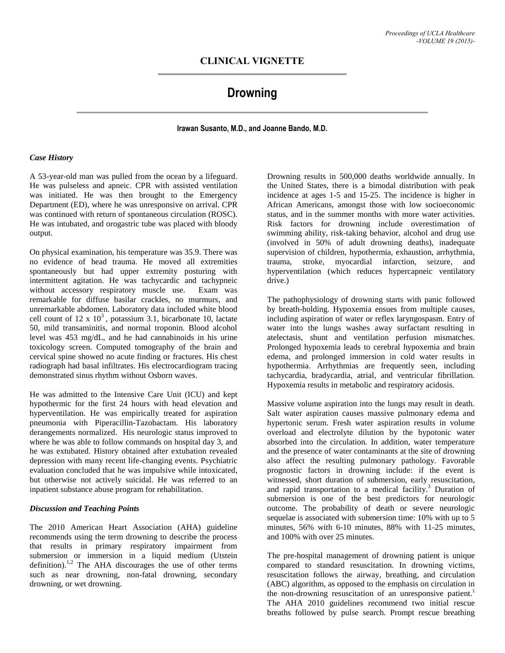## **CLINICAL VIGNETTE**

# **Drowning**

### **Irawan Susanto, M.D., and Joanne Bando, M.D.**

#### *Case History*

A 53-year-old man was pulled from the ocean by a lifeguard. He was pulseless and apneic. CPR with assisted ventilation was initiated. He was then brought to the Emergency Department (ED), where he was unresponsive on arrival. CPR was continued with return of spontaneous circulation (ROSC). He was intubated, and orogastric tube was placed with bloody output.

On physical examination, his temperature was 35.9. There was no evidence of head trauma. He moved all extremities spontaneously but had upper extremity posturing with intermittent agitation. He was tachycardic and tachypneic without accessory respiratory muscle use. Exam was remarkable for diffuse basilar crackles, no murmurs, and unremarkable abdomen. Laboratory data included white blood cell count of 12 x  $10<sup>3</sup>$ , potassium 3.1, bicarbonate 10, lactate 50, mild transaminitis, and normal troponin. Blood alcohol level was 453 mg/dL, and he had cannabinoids in his urine toxicology screen. Computed tomography of the brain and cervical spine showed no acute finding or fractures. His chest radiograph had basal infiltrates. His electrocardiogram tracing demonstrated sinus rhythm without Osborn waves.

He was admitted to the Intensive Care Unit (ICU) and kept hypothermic for the first 24 hours with head elevation and hyperventilation. He was empirically treated for aspiration pneumonia with Piperacillin-Tazobactam. His laboratory derangements normalized. His neurologic status improved to where he was able to follow commands on hospital day 3, and he was extubated. History obtained after extubation revealed depression with many recent life-changing events. Psychiatric evaluation concluded that he was impulsive while intoxicated, but otherwise not actively suicidal. He was referred to an inpatient substance abuse program for rehabilitation.

#### *Discussion and Teaching Points*

The 2010 American Heart Association (AHA) guideline recommends using the term drowning to describe the process that results in primary respiratory impairment from submersion or immersion in a liquid medium (Utstein definition).<sup>1,2</sup> The AHA discourages the use of other terms such as near drowning, non-fatal drowning, secondary drowning, or wet drowning.

Drowning results in 500,000 deaths worldwide annually. In the United States, there is a bimodal distribution with peak incidence at ages 1-5 and 15-25. The incidence is higher in African Americans, amongst those with low socioeconomic status, and in the summer months with more water activities. Risk factors for drowning include overestimation of swimming ability, risk-taking behavior, alcohol and drug use (involved in 50% of adult drowning deaths), inadequate supervision of children, hypothermia, exhaustion, arrhythmia, trauma, stroke, myocardial infarction, seizure, and hyperventilation (which reduces hypercapneic ventilatory drive.)

The pathophysiology of drowning starts with panic followed by breath-holding. Hypoxemia ensues from multiple causes, including aspiration of water or reflex laryngospasm. Entry of water into the lungs washes away surfactant resulting in atelectasis, shunt and ventilation perfusion mismatches. Prolonged hypoxemia leads to cerebral hypoxemia and brain edema, and prolonged immersion in cold water results in hypothermia. Arrhythmias are frequently seen, including tachycardia, bradycardia, atrial, and ventricular fibrillation. Hypoxemia results in metabolic and respiratory acidosis.

Massive volume aspiration into the lungs may result in death. Salt water aspiration causes massive pulmonary edema and hypertonic serum. Fresh water aspiration results in volume overload and electrolyte dilution by the hypotonic water absorbed into the circulation. In addition, water temperature and the presence of water contaminants at the site of drowning also affect the resulting pulmonary pathology. Favorable prognostic factors in drowning include: if the event is witnessed, short duration of submersion, early resuscitation, and rapid transportation to a medical facility.<sup>3</sup> Duration of submersion is one of the best predictors for neurologic outcome. The probability of death or severe neurologic sequelae is associated with submersion time: 10% with up to 5 minutes, 56% with 6-10 minutes, 88% with 11-25 minutes, and 100% with over 25 minutes.

The pre-hospital management of drowning patient is unique compared to standard resuscitation. In drowning victims, resuscitation follows the airway, breathing, and circulation (ABC) algorithm, as opposed to the emphasis on circulation in the non-drowning resuscitation of an unresponsive patient.<sup>1</sup> The AHA 2010 guidelines recommend two initial rescue breaths followed by pulse search. Prompt rescue breathing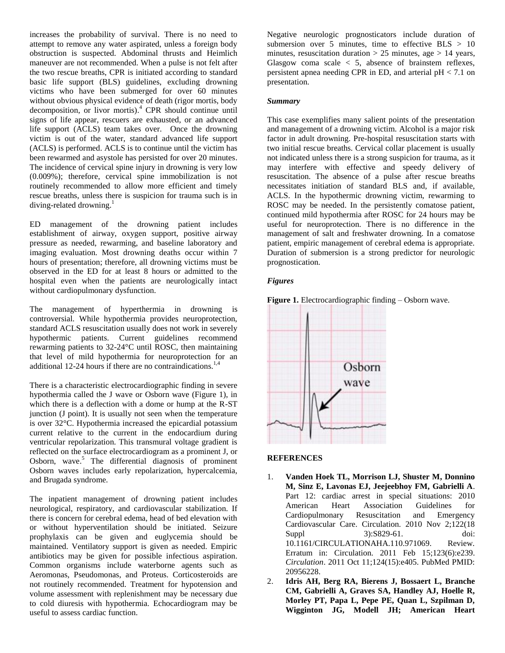increases the probability of survival. There is no need to attempt to remove any water aspirated, unless a foreign body obstruction is suspected. Abdominal thrusts and Heimlich maneuver are not recommended. When a pulse is not felt after the two rescue breaths, CPR is initiated according to standard basic life support (BLS) guidelines, excluding drowning victims who have been submerged for over 60 minutes without obvious physical evidence of death (rigor mortis, body decomposition, or livor mortis). <sup>4</sup> CPR should continue until signs of life appear, rescuers are exhausted, or an advanced life support (ACLS) team takes over. Once the drowning victim is out of the water, standard advanced life support (ACLS) is performed. ACLS is to continue until the victim has been rewarmed and asystole has persisted for over 20 minutes. The incidence of cervical spine injury in drowning is very low (0.009%); therefore, cervical spine immobilization is not routinely recommended to allow more efficient and timely rescue breaths, unless there is suspicion for trauma such is in diving-related drowning.<sup>1</sup>

ED management of the drowning patient includes establishment of airway, oxygen support, positive airway pressure as needed, rewarming, and baseline laboratory and imaging evaluation. Most drowning deaths occur within 7 hours of presentation; therefore, all drowning victims must be observed in the ED for at least 8 hours or admitted to the hospital even when the patients are neurologically intact without cardiopulmonary dysfunction.

The management of hyperthermia in drowning is controversial. While hypothermia provides neuroprotection, standard ACLS resuscitation usually does not work in severely hypothermic patients. Current guidelines recommend rewarming patients to 32-24°C until ROSC, then maintaining that level of mild hypothermia for neuroprotection for an additional 12-24 hours if there are no contraindications.<sup>1,4</sup>

There is a characteristic electrocardiographic finding in severe hypothermia called the J wave or Osborn wave (Figure 1), in which there is a deflection with a dome or hump at the R-ST junction (J point). It is usually not seen when the temperature is over 32°C. Hypothermia increased the epicardial potassium current relative to the current in the endocardium during ventricular repolarization. This transmural voltage gradient is reflected on the surface electrocardiogram as a prominent J, or Osborn, wave.<sup>5</sup> The differential diagnosis of prominent Osborn waves includes early repolarization, hypercalcemia, and Brugada syndrome.

The inpatient management of drowning patient includes neurological, respiratory, and cardiovascular stabilization. If there is concern for cerebral edema, head of bed elevation with or without hyperventilation should be initiated. Seizure prophylaxis can be given and euglycemia should be maintained. Ventilatory support is given as needed. Empiric antibiotics may be given for possible infectious aspiration. Common organisms include waterborne agents such as Aeromonas, Pseudomonas, and Proteus. Corticosteroids are not routinely recommended. Treatment for hypotension and volume assessment with replenishment may be necessary due to cold diuresis with hypothermia. Echocardiogram may be useful to assess cardiac function.

Negative neurologic prognosticators include duration of submersion over 5 minutes, time to effective  $BLS > 10$ minutes, resuscitation duration  $> 25$  minutes, age  $> 14$  years, Glasgow coma scale  $\lt$  5, absence of brainstem reflexes, persistent apnea needing CPR in ED, and arterial pH < 7.1 on presentation.

### *Summary*

This case exemplifies many salient points of the presentation and management of a drowning victim. Alcohol is a major risk factor in adult drowning. Pre-hospital resuscitation starts with two initial rescue breaths. Cervical collar placement is usually not indicated unless there is a strong suspicion for trauma, as it may interfere with effective and speedy delivery of resuscitation. The absence of a pulse after rescue breaths necessitates initiation of standard BLS and, if available, ACLS. In the hypothermic drowning victim, rewarming to ROSC may be needed. In the persistently comatose patient, continued mild hypothermia after ROSC for 24 hours may be useful for neuroprotection. There is no difference in the management of salt and freshwater drowning. In a comatose patient, empiric management of cerebral edema is appropriate. Duration of submersion is a strong predictor for neurologic prognostication.

#### *Figures*





### **REFERENCES**

- 1. **Vanden Hoek TL, Morrison LJ, Shuster M, Donnino M, Sinz E, Lavonas EJ, Jeejeebhoy FM, Gabrielli A**. Part 12: cardiac arrest in special situations: 2010 American Heart Association Guidelines for Cardiopulmonary Resuscitation and Emergency Cardiovascular Care. Circulation. 2010 Nov 2;122(18 Suppl 3):S829-61. doi: 10.1161/CIRCULATIONAHA.110.971069. Review. Erratum in: Circulation. 2011 Feb 15;123(6):e239. *Circulation*. 2011 Oct 11;124(15):e405. PubMed PMID: 20956228.
- 2. **Idris AH, Berg RA, Bierens J, Bossaert L, Branche CM, Gabrielli A, Graves SA, Handley AJ, Hoelle R, Morley PT, Papa L, Pepe PE, Quan L, Szpilman D, Wigginton JG, Modell JH; American Heart**